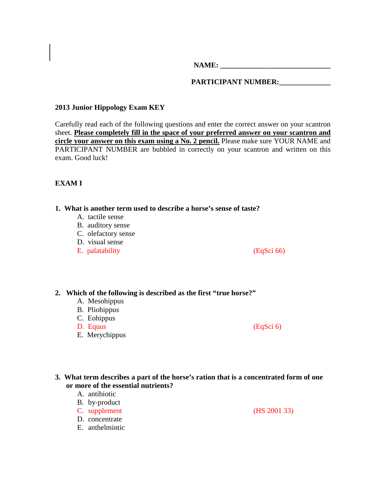NAME:

## PARTICIPANT NUMBER:

## **2013 Junior Hippology Exam KEY**

Carefully read each of the following questions and enter the correct answer on your scantron sheet. **Please completely fill in the space of your preferred answer on your scantron and circle your answer on this exam using a No. 2 pencil.** Please make sure YOUR NAME and PARTICIPANT NUMBER are bubbled in correctly on your scantron and written on this exam. Good luck!

## **EXAM I**

## **1. What is another term used to describe a horse's sense of taste?**

- A. tactile sense
- B. auditory sense
- C. olefactory sense
- D. visual sense
- E. palatability (EqSci 66)

## **2. Which of the following is described as the first "true horse?"**

- A. Mesohippus
- B. Pliohippus
- C. Eohippus
- D. Equus (EqSci 6)

E. Merychippus

- **3. What term describes a part of the horse's ration that is a concentrated form of one or more of the essential nutrients?**
	- A. antibiotic
	- B. by-product
	- C. supplement (HS 2001 33)
	- D. concentrate
	- E. anthelmintic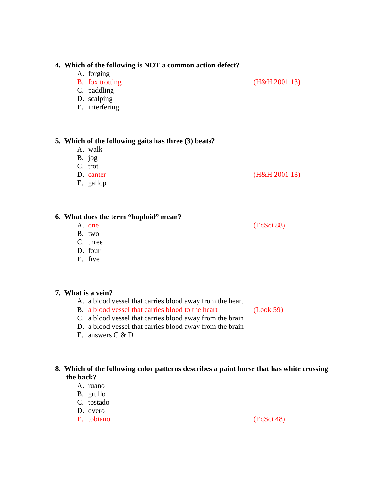### **4. Which of the following is NOT a common action defect?**

- A. forging
- B. fox trotting (H&H 2001 13)
- C. paddling
- D. scalping
- E. interfering

### **5. Which of the following gaits has three (3) beats?**

- A. walk
- B. jog
- C. trot
- D. canter (H&H 2001 18)
- E. gallop

## **6. What does the term "haploid" mean?**

- A. one (EqSci 88)
- B. two
- C. three
- D. four
- E. five

## **7. What is a vein?**

- A. a blood vessel that carries blood away from the heart
- B. a blood vessel that carries blood to the heart (Look 59)
- C. a blood vessel that carries blood away from the brain
- D. a blood vessel that carries blood away from the brain
- E. answers C & D

## **8. Which of the following color patterns describes a paint horse that has white crossing the back?**

- A. ruano
- B. grullo
- C. tostado
- D. overo
- E. tobiano (EqSci 48)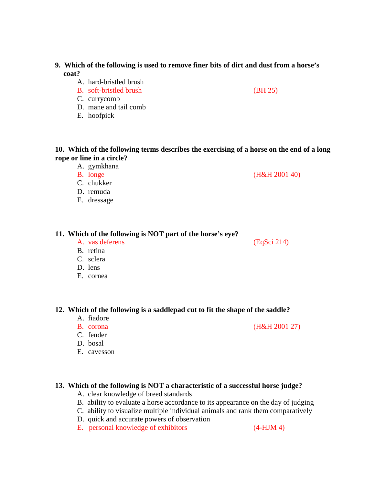## **9. Which of the following is used to remove finer bits of dirt and dust from a horse's coat?**

- A. hard-bristled brush
- B. soft-bristled brush (BH 25)
- C. currycomb
- D. mane and tail comb
- E. hoofpick

**10. Which of the following terms describes the exercising of a horse on the end of a long rope or line in a circle?**

A. gymkhana

B. longe (H&H 2001 40)

- C. chukker
- D. remuda
- E. dressage

### **11. Which of the following is NOT part of the horse's eye?**

A. vas deferens (EqSci 214)

- B. retina C. sclera
- D. lens
- E. cornea

## **12. Which of the following is a saddlepad cut to fit the shape of the saddle?**

- A. fiadore
- B. corona (H&H 2001 27)
- C. fender
- D. bosal
- E. cavesson

## **13. Which of the following is NOT a characteristic of a successful horse judge?**

- A. clear knowledge of breed standards
- B. ability to evaluate a horse accordance to its appearance on the day of judging
- C. ability to visualize multiple individual animals and rank them comparatively
- D. quick and accurate powers of observation
- E. personal knowledge of exhibitors (4-HJM 4)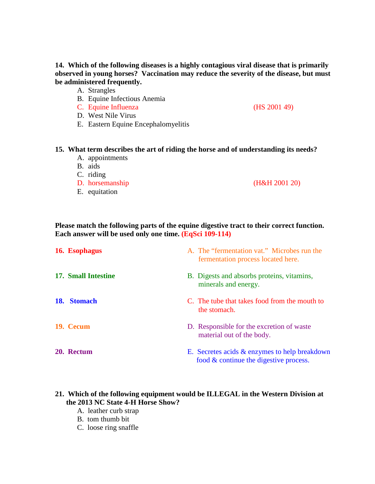## **14. Which of the following diseases is a highly contagious viral disease that is primarily observed in young horses? Vaccination may reduce the severity of the disease, but must be administered frequently.**

A. Strangles

- B. Equine Infectious Anemia
- C. Equine Influenza (HS 2001 49)
- D. West Nile Virus
- E. Eastern Equine Encephalomyelitis

### **15. What term describes the art of riding the horse and of understanding its needs?**

- A. appointments
- B. aids
- C. riding
- D. horsemanship (H&H 2001 20)
- E. equitation

**Please match the following parts of the equine digestive tract to their correct function. Each answer will be used only one time. (EqSci 109-114)**

| 16. Esophagus       | A. The "fermentation vat." Microbes run the<br>fermentation process located here.          |
|---------------------|--------------------------------------------------------------------------------------------|
| 17. Small Intestine | B. Digests and absorbs proteins, vitamins,<br>minerals and energy.                         |
| 18. Stomach         | C. The tube that takes food from the mouth to<br>the stomach.                              |
| 19. Cecum           | D. Responsible for the excretion of waste<br>material out of the body.                     |
| 20. Rectum          | E. Secretes acids & enzymes to help breakdown<br>food $\&$ continue the digestive process. |

## **21. Which of the following equipment would be ILLEGAL in the Western Division at the 2013 NC State 4-H Horse Show?**

- A. leather curb strap
- B. tom thumb bit
- C. loose ring snaffle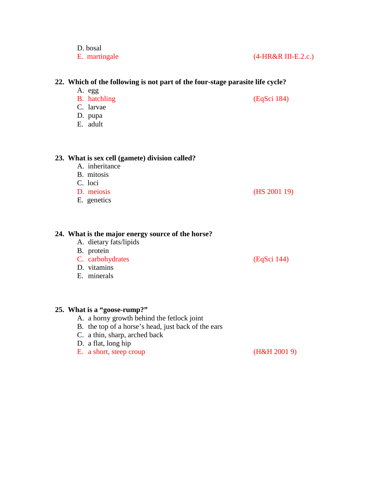| E. martingale                                                                                                          | (4-HR&R III-E.2.c.) |
|------------------------------------------------------------------------------------------------------------------------|---------------------|
| 22. Which of the following is not part of the four-stage parasite life cycle?                                          |                     |
| A. egg<br>B. hatchling<br>C. larvae<br>D. pupa<br>E. adult                                                             | (EqSci 184)         |
| 23. What is sex cell (gamete) division called?<br>A. inheritance<br>B. mitosis<br>C. loci<br>D. meiosis<br>E. genetics | (HS 2001 19)        |
| 24. What is the major energy source of the horse?<br>A dietary fats/linids                                             |                     |

- A. dietary fats/lipids
- B. protein

D. bosal

- C. carbohydrates (EqSci 144)
- D. vitamins
- E. minerals

## **25. What is a "goose-rump?"**

- A. a horny growth behind the fetlock joint
- B. the top of a horse's head, just back of the ears
- C. a thin, sharp, arched back
- D. a flat, long hip
- E. a short, steep croup (H&H 2001 9)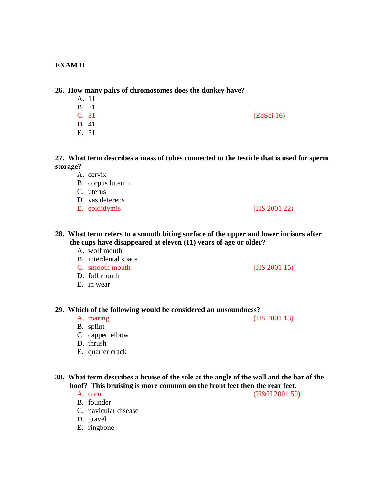## **EXAM II**

### **26. How many pairs of chromosomes does the donkey have?**

- A. 11 B. 21  $C. 31$  (EqSci 16) D. 41
- E. 51

**27. What term describes a mass of tubes connected to the testicle that is used for sperm storage?**

- A. cervix
- B. corpus luteum
- C. uterus
- D. vas deferens
- E. epididymis (HS 2001 22)

## **28. What term refers to a smooth biting surface of the upper and lower incisors after the cups have disappeared at eleven (11) years of age or older?**

### A. wolf mouth

- B. interdental space
- C. smooth mouth (HS 2001 15)
- D. full mouth
- E. in wear

## **29. Which of the following would be considered an unsoundness?**

A. roaring (HS 2001 13)

- B. splint
- C. capped elbow
- D. thrush
- E. quarter crack

## **30. What term describes a bruise of the sole at the angle of the wall and the bar of the hoof? This bruising is more common on the front feet then the rear feet.**

B. founder

A. corn (H&H 2001 50)

- D. gravel
- E. ringbone

C. navicular disease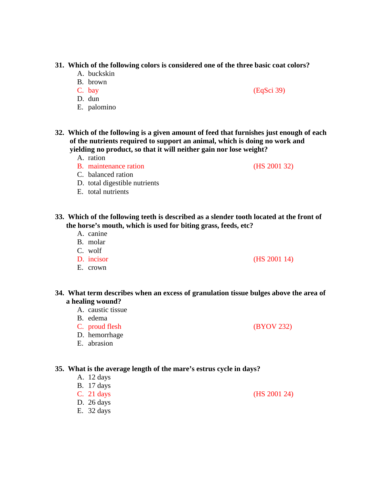## **31. Which of the following colors is considered one of the three basic coat colors?**

- A. buckskin
- B. brown
- 
- D. dun
- E. palomino
- **32. Which of the following is a given amount of feed that furnishes just enough of each of the nutrients required to support an animal, which is doing no work and yielding no product, so that it will neither gain nor lose weight?**
	- A. ration
	- B. maintenance ration (HS 2001 32)
	- C. balanced ration
	- D. total digestible nutrients
	- E. total nutrients
- **33. Which of the following teeth is described as a slender tooth located at the front of the horse's mouth, which is used for biting grass, feeds, etc?**
	- A. canine
	- B. molar
	- C. wolf
	-
	- E. crown

## **34. What term describes when an excess of granulation tissue bulges above the area of a healing wound?**

- A. caustic tissue
- B. edema
- C. proud flesh (BYOV 232)
- D. hemorrhage
- E. abrasion

### **35. What is the average length of the mare's estrus cycle in days?**

- A. 12 days B. 17 days C. 21 days (HS 2001 24) D. 26 days
- E. 32 days

C. bay (EqSci 39)

D. incisor (HS 2001 14)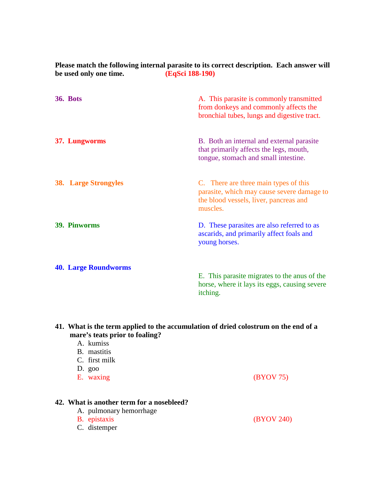| be used only one time.      | (EqSci 188-190)                                                                                                                           |
|-----------------------------|-------------------------------------------------------------------------------------------------------------------------------------------|
| <b>36. Bots</b>             | A. This parasite is commonly transmitted<br>from donkeys and commonly affects the<br>bronchial tubes, lungs and digestive tract.          |
| 37. Lungworms               | B. Both an internal and external parasite<br>that primarily affects the legs, mouth,<br>tongue, stomach and small intestine.              |
| <b>38.</b> Large Strongyles | C. There are three main types of this<br>parasite, which may cause severe damage to<br>the blood vessels, liver, pancreas and<br>muscles. |
| <b>39. Pinworms</b>         | D. These parasites are also referred to as<br>ascarids, and primarily affect foals and<br>young horses.                                   |
| <b>40. Large Roundworms</b> | E. This parasite migrates to the anus of the<br>horse, where it lays its eggs, causing severe<br>itching.                                 |

**Please match the following internal parasite to its correct description. Each answer will** 

## **41. What is the term applied to the accumulation of dried colostrum on the end of a mare's teats prior to foaling?**

A. kumiss B. mastitis C. first milk D. goo E. waxing (BYOV 75) **42. What is another term for a nosebleed?** A. pulmonary hemorrhage<br>B. epistaxis (BYOV 240) C. distemper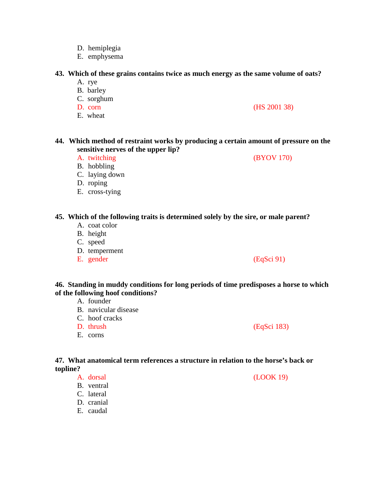- D. hemiplegia
- E. emphysema

### **43. Which of these grains contains twice as much energy as the same volume of oats?**

- A. rye
- B. barley
- C. sorghum
- D. corn (HS 2001 38)
- E. wheat

**44. Which method of restraint works by producing a certain amount of pressure on the sensitive nerves of the upper lip?**

A. twitching (BYOV 170)

- B. hobbling
- C. laying down
- D. roping
- E. cross-tying

## **45. Which of the following traits is determined solely by the sire, or male parent?**

- A. coat color
- B. height
- C. speed
- D. temperment
- 

**46. Standing in muddy conditions for long periods of time predisposes a horse to which of the following hoof conditions?**

- A. founder
- B. navicular disease
- C. hoof cracks
- D. thrush (EqSci 183)
- E. corns

## **47. What anatomical term references a structure in relation to the horse's back or topline?**

- B. ventral
- C. lateral
- D. cranial
- E. caudal

E. gender (EqSci 91)

A. dorsal (LOOK 19)

- 
- -
-